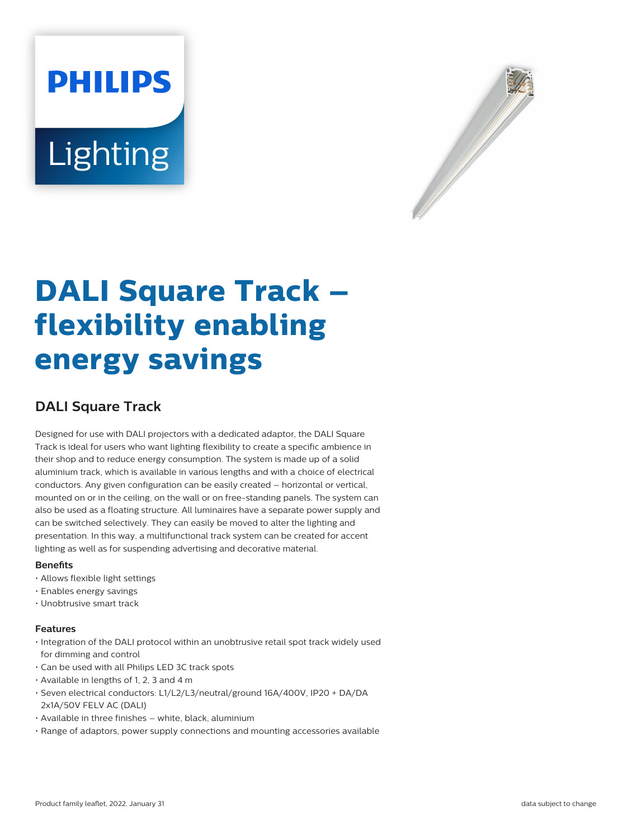# **PHILIPS Lighting**



# **DALI Square Track – flexibility enabling energy savings**

# **DALI Square Track**

Designed for use with DALI projectors with a dedicated adaptor, the DALI Square Track is ideal for users who want lighting flexibility to create a specific ambience in their shop and to reduce energy consumption. The system is made up of a solid aluminium track, which is available in various lengths and with a choice of electrical conductors. Any given configuration can be easily created – horizontal or vertical, mounted on or in the ceiling, on the wall or on free-standing panels. The system can also be used as a floating structure. All luminaires have a separate power supply and can be switched selectively. They can easily be moved to alter the lighting and presentation. In this way, a multifunctional track system can be created for accent lighting as well as for suspending advertising and decorative material.

#### **Benefits**

- Allows flexible light settings
- Enables energy savings
- Unobtrusive smart track

#### **Features**

- Integration of the DALI protocol within an unobtrusive retail spot track widely used for dimming and control
- Can be used with all Philips LED 3C track spots
- Available in lengths of 1, 2, 3 and 4 m
- Seven electrical conductors: L1/L2/L3/neutral/ground 16A/400V, IP20 + DA/DA 2x1A/50V FELV AC (DALI)
- Available in three finishes white, black, aluminium
- Range of adaptors, power supply connections and mounting accessories available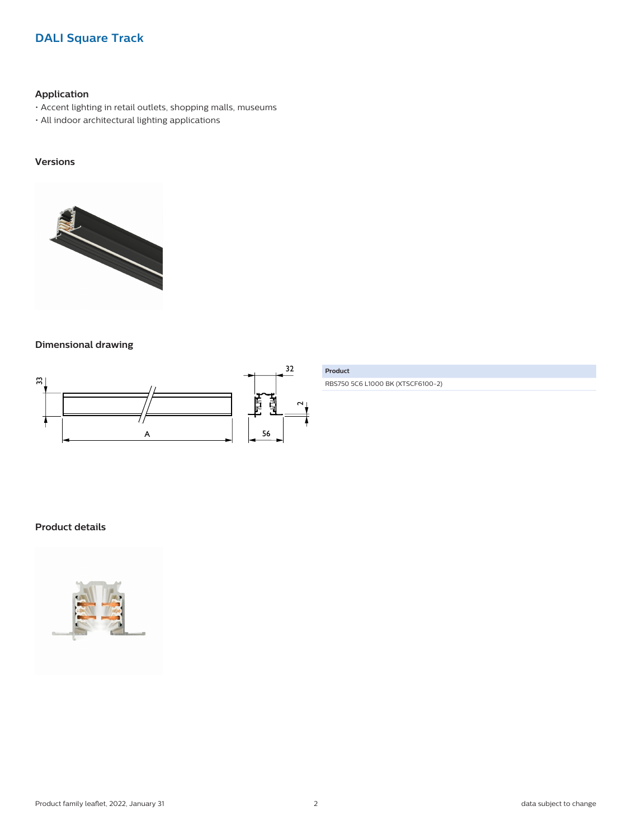# **DALI Square Track**

## **Application**

- Accent lighting in retail outlets, shopping malls, museums
- All indoor architectural lighting applications

# **Versions**



## **Dimensional drawing**



RBS750 5C6 L1000 BK (XTSCF6100-2)

# **Product details**